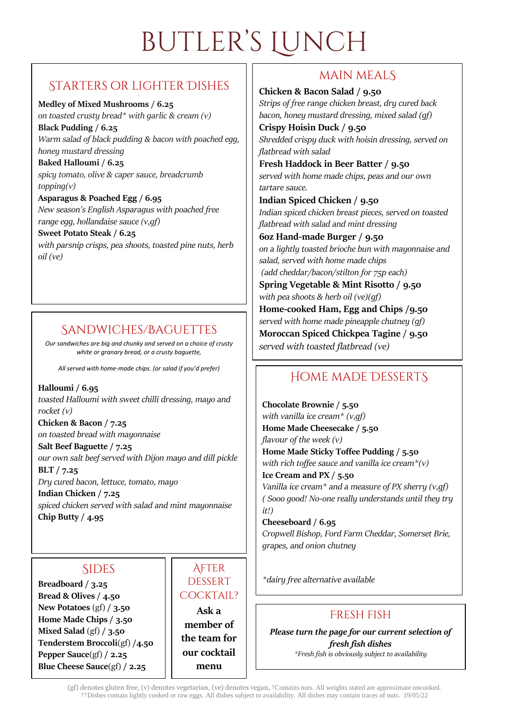# butler's Lunch

# Starters or lighter Dishes

#### **Medley of Mixed Mushrooms / 6.25**

*on toasted crusty bread\* with garlic & cream (v)* **Black Pudding / 6.25** *Warm salad of black pudding & bacon with poached egg, honey mustard dressing*

**Baked Halloumi / 6.25** *spicy tomato, olive & caper sauce, breadcrumb topping(v)*

**Asparagus & Poached Egg / 6.95** *New season's English Asparagus with poached free range egg, hollandaise sauce (v,gf)*

**Sweet Potato Steak / 6.25** *with parsnip crisps, pea shoots, toasted pine nuts, herb oil (ve)*

# Sandwiches/Baguettes

*Our sandwiches are big and chunky and served on a choice of crusty white or granary bread, or a crusty baguette,*

*All served with home-made chips. (or salad if you'd prefer)*

**Halloumi / 6.95** *toasted Halloumi with sweet chilli dressing, mayo and rocket (v)*

**Chicken & Bacon / 7.25** *on toasted bread with mayonnaise*

**Salt Beef Baguette / 7.25** *our own salt beef served with Dijon mayo and dill pickle* **BLT / 7.25** *Dry cured bacon, lettuce, tomato, mayo* **Indian Chicken / 7.25** *spiced chicken served with salad and mint mayonnaise* **Chip Butty / 4.95**

### **SIDES**

**Breadboard / 3.25 Bread & Olives / 4.50 New Potatoes** (gf) **/ 3.50 Home Made Chips / 3.50 Mixed Salad** (gf) **/ 3.50 Tenderstem Broccoli**(gf) **/4.50 Pepper Sauce**(gf) **/ 2.25 Blue Cheese Sauce**(gf) **/ 2.25**

#### **AFTER DESSERT** COCKTAIL? **Ask a member of**

**the team for our cocktail menu** 

# main mealS

**Chicken & Bacon Salad / 9.50** *Strips of free range chicken breast, dry cured back bacon, honey mustard dressing, mixed salad (gf)*

**Crispy Hoisin Duck / 9.50** *Shredded crispy duck with hoisin dressing, served on flatbread with salad*

**Fresh Haddock in Beer Batter / 9.50** *served with home made chips, peas and our own tartare sauce.*

**Indian Spiced Chicken / 9.50** *Indian spiced chicken breast pieces, served on toasted flatbread with salad and mint dressing*

**6oz Hand-made Burger / 9.50** *on a lightly toasted brioche bun with mayonnaise and salad, served with home made chips (add cheddar/bacon/stilton for 75p each)*

**Spring Vegetable & Mint Risotto / 9.50** *with pea shoots & herb oil (ve)(gf)*

**Home-cooked Ham, Egg and Chips /9.50** *served with home made pineapple chutney (gf)* **Moroccan Spiced Chickpea Tagine / 9.50** *served with toasted flatbread (ve)*

# Home made DessertS

**Chocolate Brownie / 5.50** *with vanilla ice cream\* (v,gf)* **Home Made Cheesecake / 5.50** *flavour of the week (v)* **Home Made Sticky Toffee Pudding / 5.50** *with rich toffee sauce and vanilla ice cream\*(v)* **Ice Cream and PX / 5.50** *Vanilla ice cream\* and a measure of PX sherry (v,gf) ( Sooo good! No-one really understands until they try it!)*

**Cheeseboard / 6.95** *Cropwell Bishop, Ford Farm Cheddar, Somerset Brie, grapes, and onion chutney*

*\*dairy free alternative available*

## Fresh fish

*Please turn the page for our current selection of fresh fish dishes*

*\*Fresh fish is obviously subject to availability*

(gf) denotes gluten free, (v) denotes vegetarian, (ve) denotes vegan, †Contains nuts. All weights stated are approximate uncooked. ††Dishes contain lightly cooked or raw eggs. All dishes subject to availability. All dishes may contain traces of nuts. 19/05/22